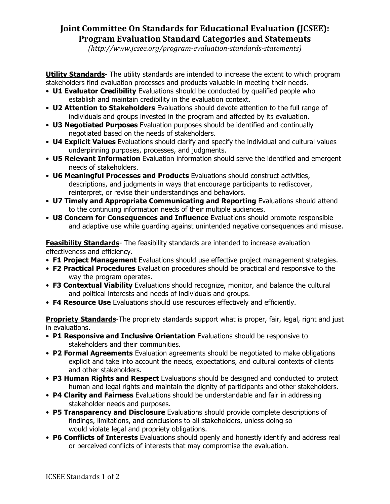## **Joint Committee On Standards for Educational Evaluation (JCSEE): Program Evaluation Standard Categories and Statements**

*(http://www.jcsee.org/program-evaluation-standards-statements)*

**Utility Standards**- The utility standards are intended to increase the extent to which program stakeholders find evaluation processes and products valuable in meeting their needs.

- **U1 Evaluator Credibility** Evaluations should be conducted by qualified people who establish and maintain credibility in the evaluation context.
- **U2 Attention to Stakeholders** Evaluations should devote attention to the full range of individuals and groups invested in the program and affected by its evaluation.
- **U3 Negotiated Purposes** Evaluation purposes should be identified and continually negotiated based on the needs of stakeholders.
- **U4 Explicit Values** Evaluations should clarify and specify the individual and cultural values underpinning purposes, processes, and judgments.
- **U5 Relevant Information** Evaluation information should serve the identified and emergent needs of stakeholders.
- **U6 Meaningful Processes and Products** Evaluations should construct activities, descriptions, and judgments in ways that encourage participants to rediscover, reinterpret, or revise their understandings and behaviors.
- **U7 Timely and Appropriate Communicating and Reporting** Evaluations should attend to the continuing information needs of their multiple audiences.
- **U8 Concern for Consequences and Influence** Evaluations should promote responsible and adaptive use while guarding against unintended negative consequences and misuse.

**Feasibility Standards**- The feasibility standards are intended to increase evaluation effectiveness and efficiency.

- **F1 Project Management** Evaluations should use effective project management strategies.
- **F2 Practical Procedures** Evaluation procedures should be practical and responsive to the way the program operates.
- **F3 Contextual Viability** Evaluations should recognize, monitor, and balance the cultural and political interests and needs of individuals and groups.
- **F4 Resource Use** Evaluations should use resources effectively and efficiently.

**Propriety Standards**-The propriety standards support what is proper, fair, legal, right and just in evaluations.

- **P1 Responsive and Inclusive Orientation** Evaluations should be responsive to stakeholders and their communities.
- **P2 Formal Agreements** Evaluation agreements should be negotiated to make obligations explicit and take into account the needs, expectations, and cultural contexts of clients and other stakeholders.
- **P3 Human Rights and Respect** Evaluations should be designed and conducted to protect human and legal rights and maintain the dignity of participants and other stakeholders.
- **P4 Clarity and Fairness** Evaluations should be understandable and fair in addressing stakeholder needs and purposes.
- **P5 Transparency and Disclosure** Evaluations should provide complete descriptions of findings, limitations, and conclusions to all stakeholders, unless doing so would violate legal and propriety obligations.
- **P6 Conflicts of Interests** Evaluations should openly and honestly identify and address real or perceived conflicts of interests that may compromise the evaluation.